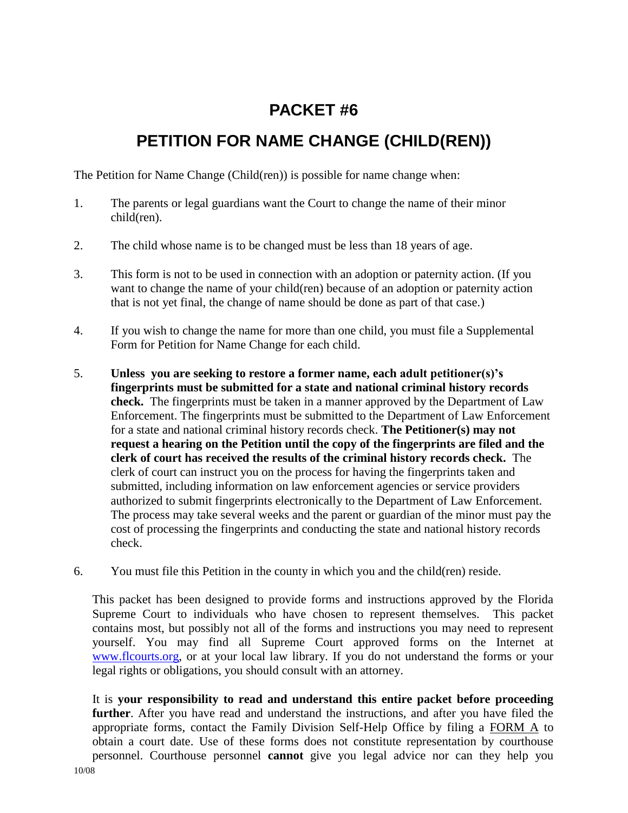## **PACKET #6**

## **PETITION FOR NAME CHANGE (CHILD(REN))**

The Petition for Name Change (Child(ren)) is possible for name change when:

- 1. The parents or legal guardians want the Court to change the name of their minor child(ren).
- 2. The child whose name is to be changed must be less than 18 years of age.
- 3. This form is not to be used in connection with an adoption or paternity action. (If you want to change the name of your child(ren) because of an adoption or paternity action that is not yet final, the change of name should be done as part of that case.)
- 4. If you wish to change the name for more than one child, you must file a Supplemental Form for Petition for Name Change for each child.
- 5. **Unless you are seeking to restore a former name, each adult petitioner(s)'s fingerprints must be submitted for a state and national criminal history records check.** The fingerprints must be taken in a manner approved by the Department of Law Enforcement. The fingerprints must be submitted to the Department of Law Enforcement for a state and national criminal history records check. **The Petitioner(s) may not request a hearing on the Petition until the copy of the fingerprints are filed and the clerk of court has received the results of the criminal history records check.** The clerk of court can instruct you on the process for having the fingerprints taken and submitted, including information on law enforcement agencies or service providers authorized to submit fingerprints electronically to the Department of Law Enforcement. The process may take several weeks and the parent or guardian of the minor must pay the cost of processing the fingerprints and conducting the state and national history records check.
- 6. You must file this Petition in the county in which you and the child(ren) reside.

This packet has been designed to provide forms and instructions approved by the Florida Supreme Court to individuals who have chosen to represent themselves. This packet contains most, but possibly not all of the forms and instructions you may need to represent yourself. You may find all Supreme Court approved forms on the Internet at [www.flcourts.org,](http://www.flcourts.org/) or at your local law library. If you do not understand the forms or your legal rights or obligations, you should consult with an attorney.

It is **your responsibility to read and understand this entire packet before proceeding further**. After you have read and understand the instructions, and after you have filed the appropriate forms, contact the Family Division Self-Help Office by filing a FORM A to obtain a court date. Use of these forms does not constitute representation by courthouse personnel. Courthouse personnel **cannot** give you legal advice nor can they help you